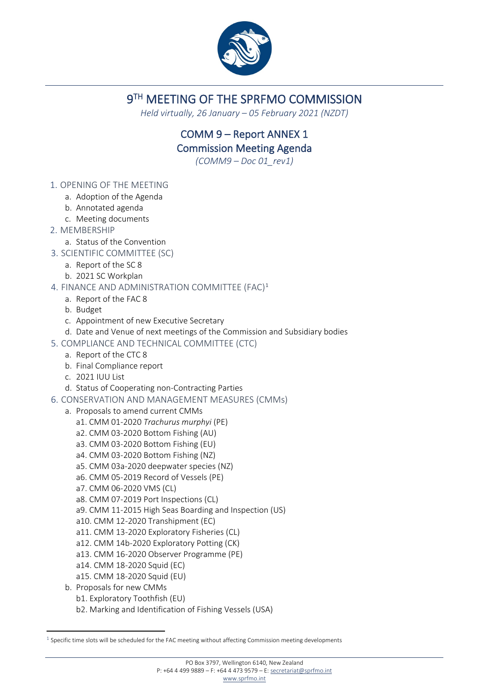

## 9TH MEETING OF THE SPRFMO COMMISSION

*Held virtually, 26 January – 05 February 2021 (NZDT)*

## COMM 9 – Report ANNEX 1 Commission Meeting Agenda

*(COMM9 – Doc 01\_rev1)*

- 1. OPENING OF THE MEETING
	- a. Adoption of the Agenda
	- b. Annotated agenda
	- c. Meeting documents
- 2. MEMBERSHIP
	- a. Status of the Convention
- 3. SCIENTIFIC COMMITTEE (SC)
	- a. Report of the SC 8
	- b. 2021 SC Workplan
- 4. FINANCE AND ADMINISTRATION COMMITTEE (FAC)[1](#page-0-0)
	- a. Report of the FAC 8
	- b. Budget
	- c. Appointment of new Executive Secretary
	- d. Date and Venue of next meetings of the Commission and Subsidiary bodies
- 5. COMPLIANCE AND TECHNICAL COMMITTEE (CTC)
	- a. Report of the CTC 8
	- b. Final Compliance report
	- c. 2021 IUU List
	- d. Status of Cooperating non-Contracting Parties
- 6. CONSERVATION AND MANAGEMENT MEASURES (CMMs)
	- a. Proposals to amend current CMMs
		- a1. CMM 01-2020 *Trachurus murphyi* (PE)
		- a2. CMM 03-2020 Bottom Fishing (AU)
		- a3. CMM 03-2020 Bottom Fishing (EU)
		- a4. CMM 03-2020 Bottom Fishing (NZ)
		- a5. CMM 03a-2020 deepwater species (NZ)
		- a6. CMM 05-2019 Record of Vessels (PE)
		- a7. CMM 06-2020 VMS (CL)
		- a8. CMM 07-2019 Port Inspections (CL)
		- a9. CMM 11-2015 High Seas Boarding and Inspection (US)
		- a10. CMM 12-2020 Transhipment (EC)
		- a11. CMM 13-2020 Exploratory Fisheries (CL)
		- a12. CMM 14b-2020 Exploratory Potting (CK)
		- a13. CMM 16-2020 Observer Programme (PE)
		- a14. CMM 18-2020 Squid (EC)
		- a15. CMM 18-2020 Squid (EU)
	- b. Proposals for new CMMs
		- b1. Exploratory Toothfish (EU)
		- b2. Marking and Identification of Fishing Vessels (USA)

<span id="page-0-0"></span> $1$  Specific time slots will be scheduled for the FAC meeting without affecting Commission meeting developments